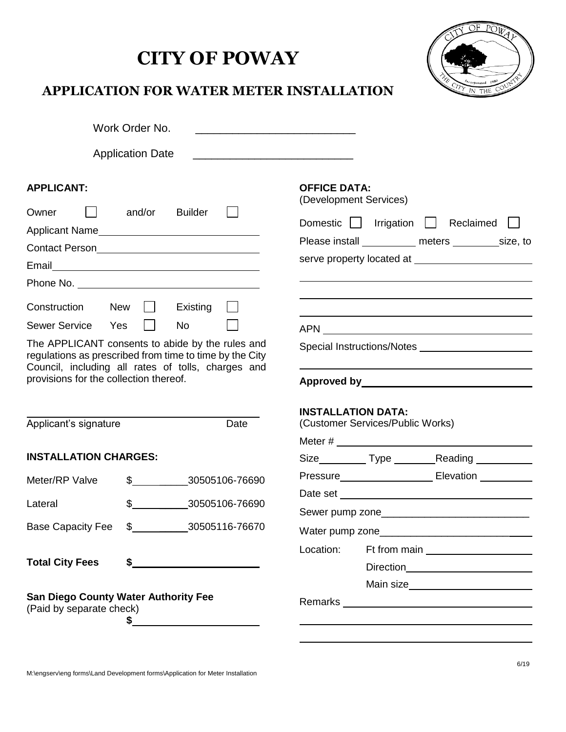# **CITY OF POWAY**

### **APPLICATION FOR WATER METER INSTALLATION**



|                                        | Work Order No.                                                                                                                                                    | <u> 1989 - Johann Stoff, fransk politiker (d. 1989)</u> |                                               |                                  |                                                                                                                                                                                                                                |  |
|----------------------------------------|-------------------------------------------------------------------------------------------------------------------------------------------------------------------|---------------------------------------------------------|-----------------------------------------------|----------------------------------|--------------------------------------------------------------------------------------------------------------------------------------------------------------------------------------------------------------------------------|--|
|                                        | <b>Application Date</b>                                                                                                                                           |                                                         |                                               |                                  |                                                                                                                                                                                                                                |  |
| <b>APPLICANT:</b>                      |                                                                                                                                                                   |                                                         | <b>OFFICE DATA:</b><br>(Development Services) |                                  |                                                                                                                                                                                                                                |  |
| Owner                                  | and/or<br><b>Builder</b>                                                                                                                                          |                                                         |                                               |                                  |                                                                                                                                                                                                                                |  |
|                                        |                                                                                                                                                                   |                                                         |                                               |                                  | Domestic   Irrigation   Reclaimed                                                                                                                                                                                              |  |
|                                        |                                                                                                                                                                   |                                                         |                                               |                                  | Please install ___________ meters __________ size, to                                                                                                                                                                          |  |
|                                        | Email <u>___________________________________</u>                                                                                                                  |                                                         |                                               |                                  |                                                                                                                                                                                                                                |  |
|                                        |                                                                                                                                                                   |                                                         |                                               |                                  |                                                                                                                                                                                                                                |  |
| Construction<br><b>New</b>             | Existing                                                                                                                                                          |                                                         |                                               |                                  |                                                                                                                                                                                                                                |  |
| Sewer Service Yes                      | <b>No</b>                                                                                                                                                         |                                                         |                                               |                                  |                                                                                                                                                                                                                                |  |
|                                        | The APPLICANT consents to abide by the rules and<br>regulations as prescribed from time to time by the City<br>Council, including all rates of tolls, charges and |                                                         |                                               |                                  | Special Instructions/Notes <b>Special</b> Instructions of                                                                                                                                                                      |  |
| provisions for the collection thereof. |                                                                                                                                                                   |                                                         |                                               |                                  | Approved by Approved by Approved by Approved By Approved By Approved By Approved By Approved By Approved By Approved By Approved By Approved By Approved By Approved By Approved By Approved By Approved By Approved By Approv |  |
|                                        |                                                                                                                                                                   |                                                         |                                               |                                  |                                                                                                                                                                                                                                |  |
| Applicant's signature                  |                                                                                                                                                                   | Date                                                    | <b>INSTALLATION DATA:</b>                     | (Customer Services/Public Works) |                                                                                                                                                                                                                                |  |
|                                        |                                                                                                                                                                   |                                                         |                                               |                                  |                                                                                                                                                                                                                                |  |
| <b>INSTALLATION CHARGES:</b>           |                                                                                                                                                                   |                                                         |                                               |                                  |                                                                                                                                                                                                                                |  |
| Meter/RP Valve                         | \$30505106-76690                                                                                                                                                  |                                                         |                                               |                                  |                                                                                                                                                                                                                                |  |
|                                        |                                                                                                                                                                   |                                                         |                                               |                                  |                                                                                                                                                                                                                                |  |
| Lateral                                | \$<br>30505106-76690                                                                                                                                              |                                                         | Sewer pump zone                               |                                  |                                                                                                                                                                                                                                |  |
|                                        |                                                                                                                                                                   |                                                         |                                               |                                  |                                                                                                                                                                                                                                |  |
|                                        |                                                                                                                                                                   |                                                         | Location:                                     |                                  |                                                                                                                                                                                                                                |  |
| <b>Total City Fees</b>                 |                                                                                                                                                                   |                                                         |                                               |                                  | Direction___________________________                                                                                                                                                                                           |  |
|                                        |                                                                                                                                                                   |                                                         |                                               |                                  |                                                                                                                                                                                                                                |  |
| (Paid by separate check)               | <b>San Diego County Water Authority Fee</b>                                                                                                                       |                                                         |                                               |                                  |                                                                                                                                                                                                                                |  |
|                                        | $\frac{1}{2}$                                                                                                                                                     |                                                         |                                               |                                  |                                                                                                                                                                                                                                |  |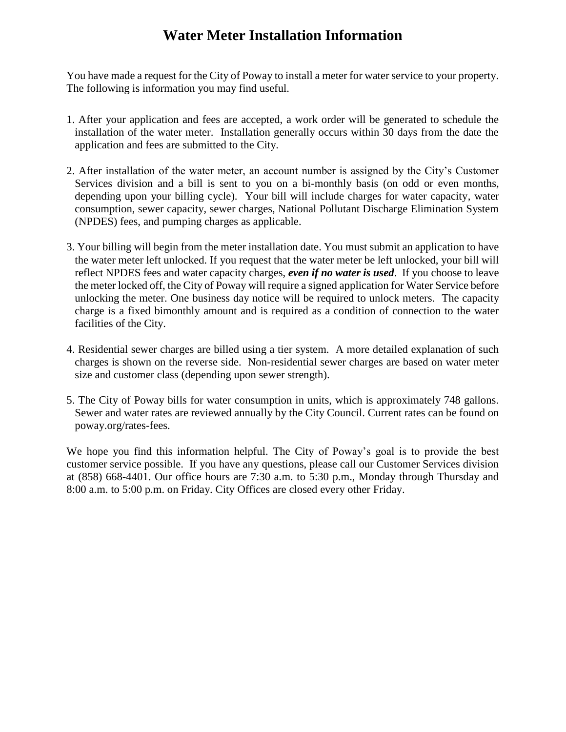### **Water Meter Installation Information**

You have made a request for the City of Poway to install a meter for water service to your property. The following is information you may find useful.

- 1. After your application and fees are accepted, a work order will be generated to schedule the installation of the water meter. Installation generally occurs within 30 days from the date the application and fees are submitted to the City.
- 2. After installation of the water meter, an account number is assigned by the City's Customer Services division and a bill is sent to you on a bi-monthly basis (on odd or even months, depending upon your billing cycle). Your bill will include charges for water capacity, water consumption, sewer capacity, sewer charges, National Pollutant Discharge Elimination System (NPDES) fees, and pumping charges as applicable.
- 3. Your billing will begin from the meter installation date. You must submit an application to have the water meter left unlocked. If you request that the water meter be left unlocked, your bill will reflect NPDES fees and water capacity charges, *even if no water is used*. If you choose to leave the meter locked off, the City of Poway will require a signed application for Water Service before unlocking the meter. One business day notice will be required to unlock meters. The capacity charge is a fixed bimonthly amount and is required as a condition of connection to the water facilities of the City.
- 4. Residential sewer charges are billed using a tier system. A more detailed explanation of such charges is shown on the reverse side. Non-residential sewer charges are based on water meter size and customer class (depending upon sewer strength).
- 5. The City of Poway bills for water consumption in units, which is approximately 748 gallons. Sewer and water rates are reviewed annually by the City Council. Current rates can be found on poway.org/rates-fees.

We hope you find this information helpful. The City of Poway's goal is to provide the best customer service possible. If you have any questions, please call our Customer Services division at (858) 668-4401. Our office hours are 7:30 a.m. to 5:30 p.m., Monday through Thursday and 8:00 a.m. to 5:00 p.m. on Friday. City Offices are closed every other Friday.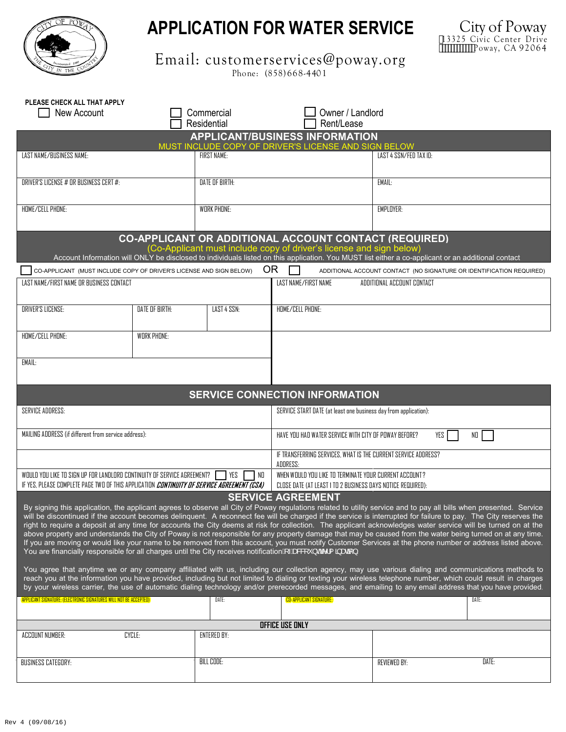

# **APPLICATION FOR WATER SERVICE**

City of Poway 13325 Civic Center Drive Poway, CA 92064

Email: customerservices@poway.org

Phone: (858) 668-4401

| PLEASE CHECK ALL THAT APPLY<br>New Account                                                                                                                                                                                                                                                                                                                                                                                                                                                                                                                                                                                                                                                                                                                                                                                                                                                                                                                                                        |                       | Commercial<br>Residential | Owner / Landlord<br>Rent/Lease                                                                                                                                  |                            |                                                                      |
|---------------------------------------------------------------------------------------------------------------------------------------------------------------------------------------------------------------------------------------------------------------------------------------------------------------------------------------------------------------------------------------------------------------------------------------------------------------------------------------------------------------------------------------------------------------------------------------------------------------------------------------------------------------------------------------------------------------------------------------------------------------------------------------------------------------------------------------------------------------------------------------------------------------------------------------------------------------------------------------------------|-----------------------|---------------------------|-----------------------------------------------------------------------------------------------------------------------------------------------------------------|----------------------------|----------------------------------------------------------------------|
|                                                                                                                                                                                                                                                                                                                                                                                                                                                                                                                                                                                                                                                                                                                                                                                                                                                                                                                                                                                                   |                       |                           | <b>APPLICANT/BUSINESS INFORMATION</b><br>MUST INCLUDE COPY OF DRIVER'S LICENSE AND SIGN BELOW                                                                   |                            |                                                                      |
| LAST NAME/BUSINESS NAME:                                                                                                                                                                                                                                                                                                                                                                                                                                                                                                                                                                                                                                                                                                                                                                                                                                                                                                                                                                          |                       | <b>FIRST NAME:</b>        |                                                                                                                                                                 | LAST 4 SSN/FED TAX ID:     |                                                                      |
| DRIVER'S LICENSE # OR BUSINESS CERT #:                                                                                                                                                                                                                                                                                                                                                                                                                                                                                                                                                                                                                                                                                                                                                                                                                                                                                                                                                            |                       | DATE OF BIRTH:            |                                                                                                                                                                 | <b>EMAIL:</b>              |                                                                      |
| HOME/CELL PHONE:                                                                                                                                                                                                                                                                                                                                                                                                                                                                                                                                                                                                                                                                                                                                                                                                                                                                                                                                                                                  |                       | <b>WORK PHONE:</b>        |                                                                                                                                                                 | EMPLOYER:                  |                                                                      |
|                                                                                                                                                                                                                                                                                                                                                                                                                                                                                                                                                                                                                                                                                                                                                                                                                                                                                                                                                                                                   |                       |                           | <b>CO-APPLICANT OR ADDITIONAL ACCOUNT CONTACT (REQUIRED)</b><br>(Co-Applicant must include copy of driver's license and sign below)                             |                            |                                                                      |
| CO-APPLICANT (MUST INCLUDE COPY OF DRIVER'S LICENSE AND SIGN BELOW)                                                                                                                                                                                                                                                                                                                                                                                                                                                                                                                                                                                                                                                                                                                                                                                                                                                                                                                               |                       |                           | Account Information will ONLY be disclosed to individuals listed on this application. You MUST list either a co-applicant or an additional contact<br><b>OR</b> |                            | ADDITIONAL ACCOUNT CONTACT (NO SIGNATURE OR IDENTIFICATION REQUIRED) |
| LAST NAME/FIRST NAME OR BUSINESS CONTACT                                                                                                                                                                                                                                                                                                                                                                                                                                                                                                                                                                                                                                                                                                                                                                                                                                                                                                                                                          |                       |                           | LAST NAME/FIRST NAME                                                                                                                                            | ADDITIONAL ACCOUNT CONTACT |                                                                      |
| <b>DRIVER'S LICENSE:</b>                                                                                                                                                                                                                                                                                                                                                                                                                                                                                                                                                                                                                                                                                                                                                                                                                                                                                                                                                                          | <b>DATE OF BIRTH:</b> | LAST 4 SSN:               | HOME/CELL PHONE:                                                                                                                                                |                            |                                                                      |
| HOME/CELL PHONE:                                                                                                                                                                                                                                                                                                                                                                                                                                                                                                                                                                                                                                                                                                                                                                                                                                                                                                                                                                                  | <b>WORK PHONE:</b>    |                           |                                                                                                                                                                 |                            |                                                                      |
| EMAIL:                                                                                                                                                                                                                                                                                                                                                                                                                                                                                                                                                                                                                                                                                                                                                                                                                                                                                                                                                                                            |                       |                           |                                                                                                                                                                 |                            |                                                                      |
|                                                                                                                                                                                                                                                                                                                                                                                                                                                                                                                                                                                                                                                                                                                                                                                                                                                                                                                                                                                                   |                       |                           | <b>SERVICE CONNECTION INFORMATION</b>                                                                                                                           |                            |                                                                      |
| <b>SERVICE ADDRESS:</b>                                                                                                                                                                                                                                                                                                                                                                                                                                                                                                                                                                                                                                                                                                                                                                                                                                                                                                                                                                           |                       |                           | SERVICE START DATE (at least one business day from application):                                                                                                |                            |                                                                      |
| MAILING ADDRESS (if different from service address):                                                                                                                                                                                                                                                                                                                                                                                                                                                                                                                                                                                                                                                                                                                                                                                                                                                                                                                                              |                       |                           | HAVE YOU HAD WATER SERVICE WITH CITY OF POWAY BEFORE?                                                                                                           |                            | YES  <br>NO I                                                        |
|                                                                                                                                                                                                                                                                                                                                                                                                                                                                                                                                                                                                                                                                                                                                                                                                                                                                                                                                                                                                   |                       |                           | IF TRANSFERRING SERVICES, WHAT IS THE CURRENT SERVICE ADDRESS?<br>ADDRESS:                                                                                      |                            |                                                                      |
| WOULD YOU LIKE TO SIGN UP FOR LANDLORD CONTINUITY OF SERVICE AGREEMENT? TWES<br>7 NO<br>IF YES, PLEASE COMPLETE PAGE TWO OF THIS APPLICATION <i>CONTINUITY OF SERVICE AGREEMENT (CSA)</i>                                                                                                                                                                                                                                                                                                                                                                                                                                                                                                                                                                                                                                                                                                                                                                                                         |                       |                           | WHEN WOULD YOU LIKE TO TERMINATE YOUR CURRENT ACCOUNT?<br>CLOSE DATE (AT LEAST 1 TO 2 BUSINESS DAYS NOTICE REQUIRED):                                           |                            |                                                                      |
| By signing this application, the applicant agrees to observe all City of Poway regulations related to utility service and to pay all bills when presented. Service<br>will be discontinued if the account becomes delinquent. A reconnect fee will be charged if the service is interrupted for failure to pay. The City reserves the<br>right to require a deposit at any time for accounts the City deems at risk for collection. The applicant acknowledges water service will be turned on at the<br>above property and understands the City of Poway is not responsible for any property damage that may be caused from the water being turned on at any time.<br>If you are moving or would like your name to be removed from this account, you must notify Customer Services at the phone number or address listed above.<br>You are financially responsible for all charges until the City receives notification $\hat{A} \rightarrow \hat{S} \hat{S}$ / $\hat{A}$ / $\hat{A}$ and $\}$ . |                       |                           | <b>SERVICE AGREEMENT</b>                                                                                                                                        |                            |                                                                      |
| You agree that anytime we or any company affiliated with us, including our collection agency, may use various dialing and communications methods to<br>reach you at the information you have provided, including but not limited to dialing or texting your wireless telephone number, which could result in charges<br>by your wireless carrier, the use of automatic dialing technology and/or prerecorded messages, and emailing to any email address that you have provided.                                                                                                                                                                                                                                                                                                                                                                                                                                                                                                                  |                       |                           |                                                                                                                                                                 |                            |                                                                      |
| APPLICANT SIGNATURE: (ELECTRONIC SIGNATURES WILL NOT BE ACCEPTED)                                                                                                                                                                                                                                                                                                                                                                                                                                                                                                                                                                                                                                                                                                                                                                                                                                                                                                                                 |                       | DATE:                     | <b>CO-APPLICANT SIGNATURE:</b>                                                                                                                                  |                            | DATE:                                                                |
| ACCOUNT NUMBER:                                                                                                                                                                                                                                                                                                                                                                                                                                                                                                                                                                                                                                                                                                                                                                                                                                                                                                                                                                                   | CYCLE:                | <b>ENTERED BY:</b>        | <b>OFFICE USE ONLY</b>                                                                                                                                          |                            |                                                                      |
|                                                                                                                                                                                                                                                                                                                                                                                                                                                                                                                                                                                                                                                                                                                                                                                                                                                                                                                                                                                                   |                       |                           |                                                                                                                                                                 |                            |                                                                      |
| BUSINESS CATEGORY:                                                                                                                                                                                                                                                                                                                                                                                                                                                                                                                                                                                                                                                                                                                                                                                                                                                                                                                                                                                |                       | BILL CODE:                |                                                                                                                                                                 | <b>REVIEWED BY:</b>        | DATE:                                                                |